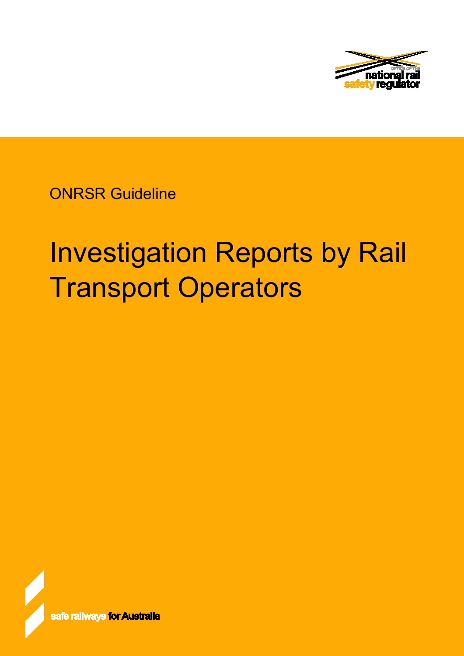

ONRSR Guideline

# Investigation Reports by Rail Transport Operators

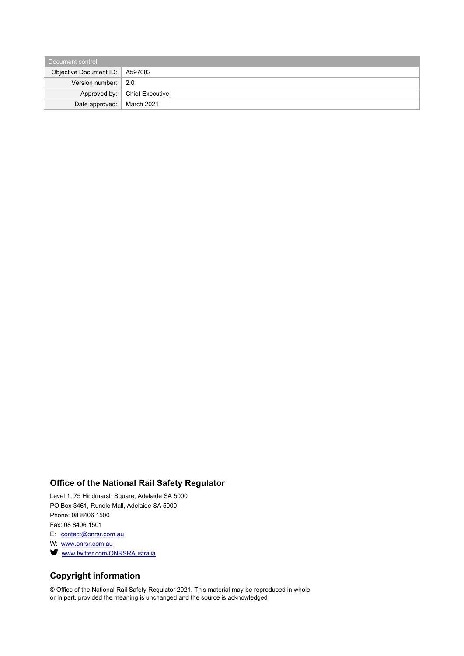| Document control                 |                                |  |  |
|----------------------------------|--------------------------------|--|--|
| Objective Document ID:   A597082 |                                |  |  |
| Version number: $\vert$ 2.0      |                                |  |  |
|                                  | Approved by:   Chief Executive |  |  |
| Date approved:   March 2021      |                                |  |  |

# **Office of the National Rail Safety Regulator**

Level 1, 75 Hindmarsh Square, Adelaide SA 5000 PO Box 3461, Rundle Mall, Adelaide SA 5000 Phone: 08 8406 1500 Fax: 08 8406 1501

E: [contact@onrsr.com.au](mailto:contact@onrsr.com.au)

W: [www.onrsr.com.au](http://www.onrsr.com.au/)

**Www.twitter.com/ONRSRAustralia** 

# **Copyright information**

© Office of the National Rail Safety Regulator 2021. This material may be reproduced in whole or in part, provided the meaning is unchanged and the source is acknowledged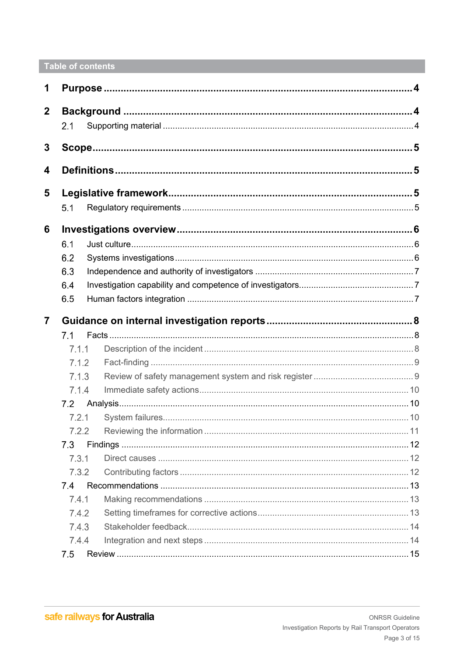# Table of contents

| 1              |       |  |  |
|----------------|-------|--|--|
| $\mathbf{2}$   |       |  |  |
|                | 2.1   |  |  |
| 3              |       |  |  |
|                |       |  |  |
| 4              |       |  |  |
| 5              |       |  |  |
|                | 5.1   |  |  |
| 6              |       |  |  |
|                | 6.1   |  |  |
|                | 6.2   |  |  |
|                | 6.3   |  |  |
|                | 6.4   |  |  |
|                | 6.5   |  |  |
| $\overline{7}$ |       |  |  |
|                | 7.1   |  |  |
|                | 7.1.1 |  |  |
|                | 7.1.2 |  |  |
| 7.1.3          |       |  |  |
|                | 7.1.4 |  |  |
|                | 7.2   |  |  |
|                | 7.2.1 |  |  |
|                | 7.2.2 |  |  |
|                | 7.3   |  |  |
|                | 7.3.1 |  |  |
|                | 7.3.2 |  |  |
|                | 7.4   |  |  |
|                | 7.4.1 |  |  |
|                | 7.4.2 |  |  |
|                | 7.4.3 |  |  |
|                | 7.4.4 |  |  |
|                | 7.5   |  |  |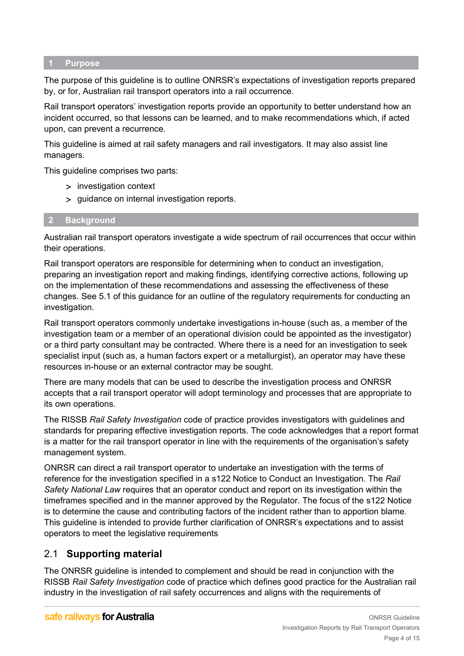#### <span id="page-3-0"></span>**1 Purpose**

The purpose of this guideline is to outline ONRSR's expectations of investigation reports prepared by, or for, Australian rail transport operators into a rail occurrence.

Rail transport operators' investigation reports provide an opportunity to better understand how an incident occurred, so that lessons can be learned, and to make recommendations which, if acted upon, can prevent a recurrence.

This guideline is aimed at rail safety managers and rail investigators. It may also assist line managers.

This guideline comprises two parts:

- > investigation context
- > guidance on internal investigation reports.

#### <span id="page-3-1"></span>**2 Background**

Australian rail transport operators investigate a wide spectrum of rail occurrences that occur within their operations.

Rail transport operators are responsible for determining when to conduct an investigation, preparing an investigation report and making findings, identifying corrective actions, following up on the implementation of these recommendations and assessing the effectiveness of these changes. See 5.1 of this guidance for an outline of the regulatory requirements for conducting an investigation.

Rail transport operators commonly undertake investigations in-house (such as, a member of the investigation team or a member of an operational division could be appointed as the investigator) or a third party consultant may be contracted. Where there is a need for an investigation to seek specialist input (such as, a human factors expert or a metallurgist), an operator may have these resources in-house or an external contractor may be sought.

There are many models that can be used to describe the investigation process and ONRSR accepts that a rail transport operator will adopt terminology and processes that are appropriate to its own operations.

The RISSB *Rail Safety Investigation* code of practice provides investigators with guidelines and standards for preparing effective investigation reports. The code acknowledges that a report format is a matter for the rail transport operator in line with the requirements of the organisation's safety management system.

ONRSR can direct a rail transport operator to undertake an investigation with the terms of reference for the investigation specified in a s122 Notice to Conduct an Investigation. The *Rail Safety National Law* requires that an operator conduct and report on its investigation within the timeframes specified and in the manner approved by the Regulator. The focus of the s122 Notice is to determine the cause and contributing factors of the incident rather than to apportion blame. This guideline is intended to provide further clarification of ONRSR's expectations and to assist operators to meet the legislative requirements

# <span id="page-3-2"></span>2.1 **Supporting material**

The ONRSR guideline is intended to complement and should be read in conjunction with the RISSB *Rail Safety Investigation* code of practice which defines good practice for the Australian rail industry in the investigation of rail safety occurrences and aligns with the requirements of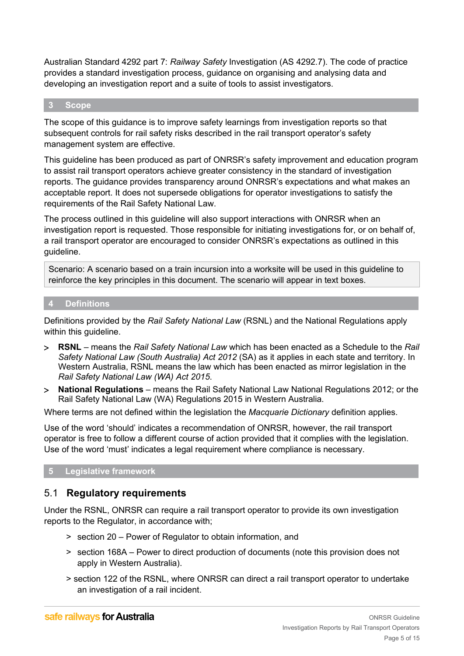Australian Standard 4292 part 7: *Railway Safety* Investigation (AS 4292.7). The code of practice provides a standard investigation process, guidance on organising and analysing data and developing an investigation report and a suite of tools to assist investigators.

#### <span id="page-4-0"></span>**3 Scope**

The scope of this guidance is to improve safety learnings from investigation reports so that subsequent controls for rail safety risks described in the rail transport operator's safety management system are effective.

This guideline has been produced as part of ONRSR's safety improvement and education program to assist rail transport operators achieve greater consistency in the standard of investigation reports. The guidance provides transparency around ONRSR's expectations and what makes an acceptable report. It does not supersede obligations for operator investigations to satisfy the requirements of the Rail Safety National Law.

The process outlined in this guideline will also support interactions with ONRSR when an investigation report is requested. Those responsible for initiating investigations for, or on behalf of, a rail transport operator are encouraged to consider ONRSR's expectations as outlined in this guideline.

Scenario: A scenario based on a train incursion into a worksite will be used in this guideline to reinforce the key principles in this document. The scenario will appear in text boxes.

#### <span id="page-4-1"></span>**4 Definitions**

Definitions provided by the *Rail Safety National Law* (RSNL) and the National Regulations apply within this guideline.

- > **RSNL**  means the *Rail Safety National Law* which has been enacted as a Schedule to the *Rail Safety National Law (South Australia) Act 2012* (SA) as it applies in each state and territory. In Western Australia, RSNL means the law which has been enacted as mirror legislation in the *Rail Safety National Law (WA) Act 2015*.
- > **National Regulations** means the Rail Safety National Law National Regulations 2012; or the Rail Safety National Law (WA) Regulations 2015 in Western Australia.

Where terms are not defined within the legislation the *Macquarie Dictionary* definition applies.

Use of the word 'should' indicates a recommendation of ONRSR, however, the rail transport operator is free to follow a different course of action provided that it complies with the legislation. Use of the word 'must' indicates a legal requirement where compliance is necessary.

## <span id="page-4-2"></span>**5 Legislative framework**

# <span id="page-4-3"></span>5.1 **Regulatory requirements**

Under the RSNL, ONRSR can require a rail transport operator to provide its own investigation reports to the Regulator, in accordance with;

- > section 20 Power of Regulator to obtain information, and
- > section 168A Power to direct production of documents (note this provision does not apply in Western Australia).
- > section 122 of the RSNL, where ONRSR can direct a rail transport operator to undertake an investigation of a rail incident.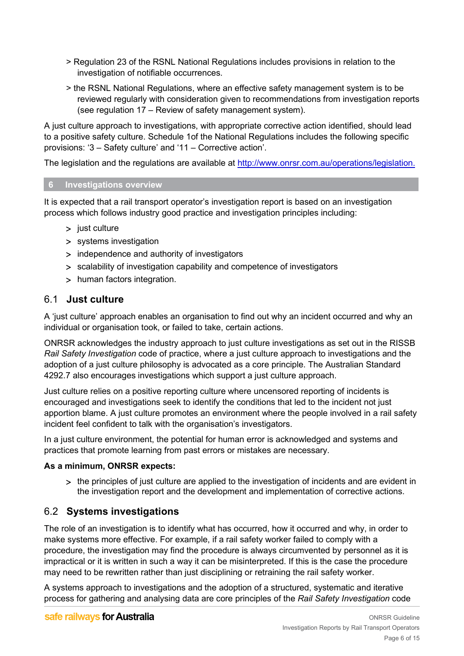- > Regulation 23 of the RSNL National Regulations includes provisions in relation to the investigation of notifiable occurrences.
- > the RSNL National Regulations, where an effective safety management system is to be reviewed regularly with consideration given to recommendations from investigation reports (see regulation 17 – Review of safety management system).

A just culture approach to investigations, with appropriate corrective action identified, should lead to a positive safety culture. Schedule 1of the National Regulations includes the following specific provisions: '3 – Safety culture' and '11 – Corrective action'.

The legislation and the regulations are available at [http://www.onrsr.com.au/operations/legislation.](http://www.onrsr.com.au/operations/legislation)

# <span id="page-5-0"></span>**6 Investigations overview**

It is expected that a rail transport operator's investigation report is based on an investigation process which follows industry good practice and investigation principles including:

- > just culture
- > systems investigation
- > independence and authority of investigators
- > scalability of investigation capability and competence of investigators
- > human factors integration.

# <span id="page-5-1"></span>6.1 **Just culture**

A 'just culture' approach enables an organisation to find out why an incident occurred and why an individual or organisation took, or failed to take, certain actions.

ONRSR acknowledges the industry approach to just culture investigations as set out in the RISSB *Rail Safety Investigation* code of practice, where a just culture approach to investigations and the adoption of a just culture philosophy is advocated as a core principle. The Australian Standard 4292.7 also encourages investigations which support a just culture approach.

Just culture relies on a positive reporting culture where uncensored reporting of incidents is encouraged and investigations seek to identify the conditions that led to the incident not just apportion blame. A just culture promotes an environment where the people involved in a rail safety incident feel confident to talk with the organisation's investigators.

In a just culture environment, the potential for human error is acknowledged and systems and practices that promote learning from past errors or mistakes are necessary.

# **As a minimum, ONRSR expects:**

> the principles of just culture are applied to the investigation of incidents and are evident in the investigation report and the development and implementation of corrective actions.

# <span id="page-5-2"></span>6.2 **Systems investigations**

The role of an investigation is to identify what has occurred, how it occurred and why, in order to make systems more effective. For example, if a rail safety worker failed to comply with a procedure, the investigation may find the procedure is always circumvented by personnel as it is impractical or it is written in such a way it can be misinterpreted. If this is the case the procedure may need to be rewritten rather than just disciplining or retraining the rail safety worker.

A systems approach to investigations and the adoption of a structured, systematic and iterative process for gathering and analysing data are core principles of the *Rail Safety Investigation* code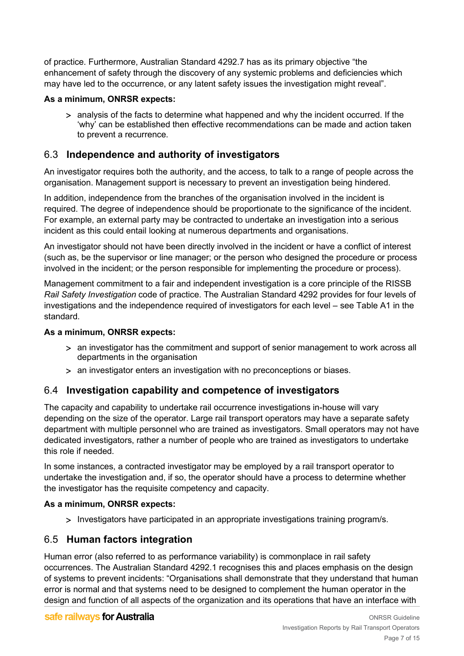of practice. Furthermore, Australian Standard 4292.7 has as its primary objective "the enhancement of safety through the discovery of any systemic problems and deficiencies which may have led to the occurrence, or any latent safety issues the investigation might reveal".

## **As a minimum, ONRSR expects:**

> analysis of the facts to determine what happened and why the incident occurred. If the 'why' can be established then effective recommendations can be made and action taken to prevent a recurrence.

# <span id="page-6-0"></span>6.3 **Independence and authority of investigators**

An investigator requires both the authority, and the access, to talk to a range of people across the organisation. Management support is necessary to prevent an investigation being hindered.

In addition, independence from the branches of the organisation involved in the incident is required. The degree of independence should be proportionate to the significance of the incident. For example, an external party may be contracted to undertake an investigation into a serious incident as this could entail looking at numerous departments and organisations.

An investigator should not have been directly involved in the incident or have a conflict of interest (such as, be the supervisor or line manager; or the person who designed the procedure or process involved in the incident; or the person responsible for implementing the procedure or process).

Management commitment to a fair and independent investigation is a core principle of the RISSB *Rail Safety Investigation* code of practice. The Australian Standard 4292 provides for four levels of investigations and the independence required of investigators for each level – see Table A1 in the standard.

#### **As a minimum, ONRSR expects:**

- > an investigator has the commitment and support of senior management to work across all departments in the organisation
- > an investigator enters an investigation with no preconceptions or biases.

# <span id="page-6-1"></span>6.4 **Investigation capability and competence of investigators**

The capacity and capability to undertake rail occurrence investigations in-house will vary depending on the size of the operator. Large rail transport operators may have a separate safety department with multiple personnel who are trained as investigators. Small operators may not have dedicated investigators, rather a number of people who are trained as investigators to undertake this role if needed.

In some instances, a contracted investigator may be employed by a rail transport operator to undertake the investigation and, if so, the operator should have a process to determine whether the investigator has the requisite competency and capacity.

## **As a minimum, ONRSR expects:**

> Investigators have participated in an appropriate investigations training program/s.

# <span id="page-6-2"></span>6.5 **Human factors integration**

Human error (also referred to as performance variability) is commonplace in rail safety occurrences. The Australian Standard 4292.1 recognises this and places emphasis on the design of systems to prevent incidents: "Organisations shall demonstrate that they understand that human error is normal and that systems need to be designed to complement the human operator in the design and function of all aspects of the organization and its operations that have an interface with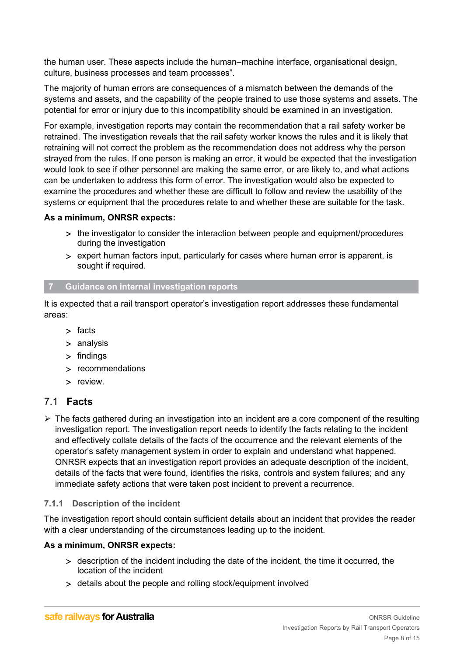the human user. These aspects include the human–machine interface, organisational design, culture, business processes and team processes".

The majority of human errors are consequences of a mismatch between the demands of the systems and assets, and the capability of the people trained to use those systems and assets. The potential for error or injury due to this incompatibility should be examined in an investigation.

For example, investigation reports may contain the recommendation that a rail safety worker be retrained. The investigation reveals that the rail safety worker knows the rules and it is likely that retraining will not correct the problem as the recommendation does not address why the person strayed from the rules. If one person is making an error, it would be expected that the investigation would look to see if other personnel are making the same error, or are likely to, and what actions can be undertaken to address this form of error. The investigation would also be expected to examine the procedures and whether these are difficult to follow and review the usability of the systems or equipment that the procedures relate to and whether these are suitable for the task.

## **As a minimum, ONRSR expects:**

- > the investigator to consider the interaction between people and equipment/procedures during the investigation
- > expert human factors input, particularly for cases where human error is apparent, is sought if required.

#### <span id="page-7-0"></span>**7 Guidance on internal investigation reports**

It is expected that a rail transport operator's investigation report addresses these fundamental areas:

- > facts
- > analysis
- > findings
- > recommendations
- > review.

# <span id="page-7-1"></span>7.1 **Facts**

 $\triangleright$  The facts gathered during an investigation into an incident are a core component of the resulting investigation report. The investigation report needs to identify the facts relating to the incident and effectively collate details of the facts of the occurrence and the relevant elements of the operator's safety management system in order to explain and understand what happened. ONRSR expects that an investigation report provides an adequate description of the incident, details of the facts that were found, identifies the risks, controls and system failures; and any immediate safety actions that were taken post incident to prevent a recurrence.

## <span id="page-7-2"></span>**7.1.1 Description of the incident**

The investigation report should contain sufficient details about an incident that provides the reader with a clear understanding of the circumstances leading up to the incident.

#### **As a minimum, ONRSR expects:**

- > description of the incident including the date of the incident, the time it occurred, the location of the incident
- > details about the people and rolling stock/equipment involved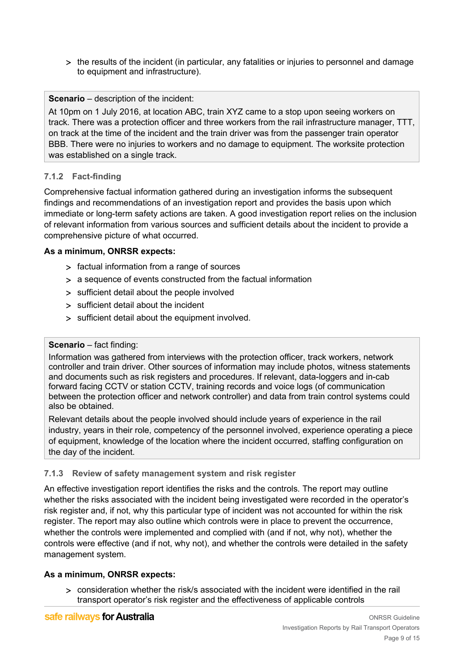> the results of the incident (in particular, any fatalities or injuries to personnel and damage to equipment and infrastructure).

# **Scenario** – description of the incident:

At 10pm on 1 July 2016, at location ABC, train XYZ came to a stop upon seeing workers on track. There was a protection officer and three workers from the rail infrastructure manager, TTT, on track at the time of the incident and the train driver was from the passenger train operator BBB. There were no injuries to workers and no damage to equipment. The worksite protection was established on a single track.

# <span id="page-8-0"></span>**7.1.2 Fact-finding**

Comprehensive factual information gathered during an investigation informs the subsequent findings and recommendations of an investigation report and provides the basis upon which immediate or long-term safety actions are taken. A good investigation report relies on the inclusion of relevant information from various sources and sufficient details about the incident to provide a comprehensive picture of what occurred.

## **As a minimum, ONRSR expects:**

- > factual information from a range of sources
- > a sequence of events constructed from the factual information
- > sufficient detail about the people involved
- > sufficient detail about the incident
- > sufficient detail about the equipment involved.

## **Scenario** – fact finding:

Information was gathered from interviews with the protection officer, track workers, network controller and train driver. Other sources of information may include photos, witness statements and documents such as risk registers and procedures. If relevant, data-loggers and in-cab forward facing CCTV or station CCTV, training records and voice logs (of communication between the protection officer and network controller) and data from train control systems could also be obtained.

Relevant details about the people involved should include years of experience in the rail industry, years in their role, competency of the personnel involved, experience operating a piece of equipment, knowledge of the location where the incident occurred, staffing configuration on the day of the incident.

# <span id="page-8-1"></span>**7.1.3 Review of safety management system and risk register**

An effective investigation report identifies the risks and the controls. The report may outline whether the risks associated with the incident being investigated were recorded in the operator's risk register and, if not, why this particular type of incident was not accounted for within the risk register. The report may also outline which controls were in place to prevent the occurrence, whether the controls were implemented and complied with (and if not, why not), whether the controls were effective (and if not, why not), and whether the controls were detailed in the safety management system.

## **As a minimum, ONRSR expects:**

> consideration whether the risk/s associated with the incident were identified in the rail transport operator's risk register and the effectiveness of applicable controls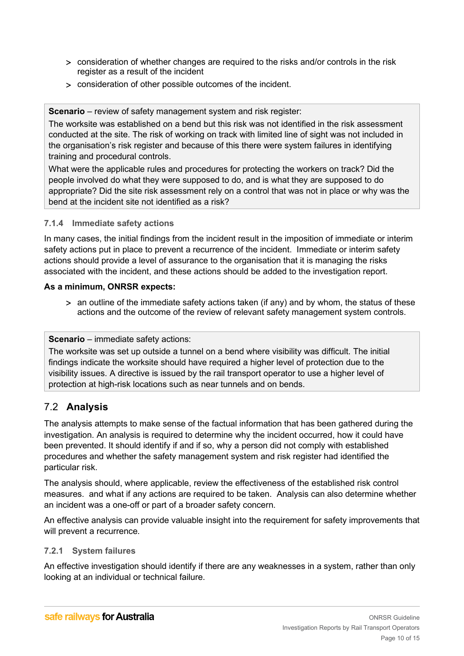- > consideration of whether changes are required to the risks and/or controls in the risk register as a result of the incident
- > consideration of other possible outcomes of the incident.

**Scenario** – review of safety management system and risk register:

The worksite was established on a bend but this risk was not identified in the risk assessment conducted at the site. The risk of working on track with limited line of sight was not included in the organisation's risk register and because of this there were system failures in identifying training and procedural controls.

What were the applicable rules and procedures for protecting the workers on track? Did the people involved do what they were supposed to do, and is what they are supposed to do appropriate? Did the site risk assessment rely on a control that was not in place or why was the bend at the incident site not identified as a risk?

# <span id="page-9-0"></span>**7.1.4 Immediate safety actions**

In many cases, the initial findings from the incident result in the imposition of immediate or interim safety actions put in place to prevent a recurrence of the incident. Immediate or interim safety actions should provide a level of assurance to the organisation that it is managing the risks associated with the incident, and these actions should be added to the investigation report.

## **As a minimum, ONRSR expects:**

> an outline of the immediate safety actions taken (if any) and by whom, the status of these actions and the outcome of the review of relevant safety management system controls.

# **Scenario** – immediate safety actions:

The worksite was set up outside a tunnel on a bend where visibility was difficult. The initial findings indicate the worksite should have required a higher level of protection due to the visibility issues. A directive is issued by the rail transport operator to use a higher level of protection at high-risk locations such as near tunnels and on bends.

# <span id="page-9-1"></span>7.2 **Analysis**

The analysis attempts to make sense of the factual information that has been gathered during the investigation. An analysis is required to determine why the incident occurred, how it could have been prevented. It should identify if and if so, why a person did not comply with established procedures and whether the safety management system and risk register had identified the particular risk.

The analysis should, where applicable, review the effectiveness of the established risk control measures. and what if any actions are required to be taken. Analysis can also determine whether an incident was a one-off or part of a broader safety concern.

An effective analysis can provide valuable insight into the requirement for safety improvements that will prevent a recurrence.

## <span id="page-9-2"></span>**7.2.1 System failures**

An effective investigation should identify if there are any weaknesses in a system, rather than only looking at an individual or technical failure.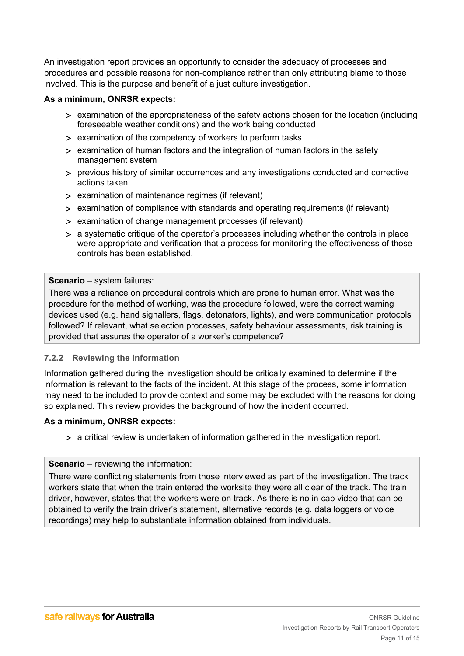An investigation report provides an opportunity to consider the adequacy of processes and procedures and possible reasons for non-compliance rather than only attributing blame to those involved. This is the purpose and benefit of a just culture investigation.

#### **As a minimum, ONRSR expects:**

- > examination of the appropriateness of the safety actions chosen for the location (including foreseeable weather conditions) and the work being conducted
- > examination of the competency of workers to perform tasks
- > examination of human factors and the integration of human factors in the safety management system
- > previous history of similar occurrences and any investigations conducted and corrective actions taken
- > examination of maintenance regimes (if relevant)
- > examination of compliance with standards and operating requirements (if relevant)
- > examination of change management processes (if relevant)
- > a systematic critique of the operator's processes including whether the controls in place were appropriate and verification that a process for monitoring the effectiveness of those controls has been established.

#### **Scenario** – system failures:

There was a reliance on procedural controls which are prone to human error. What was the procedure for the method of working, was the procedure followed, were the correct warning devices used (e.g. hand signallers, flags, detonators, lights), and were communication protocols followed? If relevant, what selection processes, safety behaviour assessments, risk training is provided that assures the operator of a worker's competence?

## <span id="page-10-0"></span>**7.2.2 Reviewing the information**

Information gathered during the investigation should be critically examined to determine if the information is relevant to the facts of the incident. At this stage of the process, some information may need to be included to provide context and some may be excluded with the reasons for doing so explained. This review provides the background of how the incident occurred.

#### **As a minimum, ONRSR expects:**

> a critical review is undertaken of information gathered in the investigation report.

#### **Scenario** – reviewing the information:

<span id="page-10-1"></span>There were conflicting statements from those interviewed as part of the investigation. The track workers state that when the train entered the worksite they were all clear of the track. The train driver, however, states that the workers were on track. As there is no in-cab video that can be obtained to verify the train driver's statement, alternative records (e.g. data loggers or voice recordings) may help to substantiate information obtained from individuals.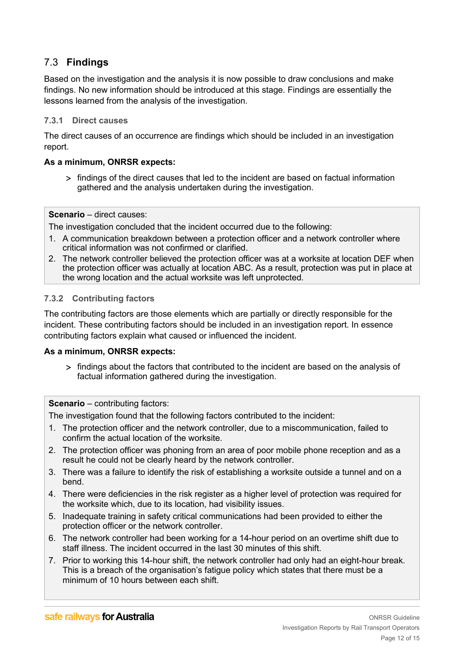# 7.3 **Findings**

Based on the investigation and the analysis it is now possible to draw conclusions and make findings. No new information should be introduced at this stage. Findings are essentially the lessons learned from the analysis of the investigation.

#### <span id="page-11-0"></span>**7.3.1 Direct causes**

The direct causes of an occurrence are findings which should be included in an investigation report.

#### **As a minimum, ONRSR expects:**

> findings of the direct causes that led to the incident are based on factual information gathered and the analysis undertaken during the investigation.

**Scenario** – direct causes:

The investigation concluded that the incident occurred due to the following:

- 1. A communication breakdown between a protection officer and a network controller where critical information was not confirmed or clarified.
- 2. The network controller believed the protection officer was at a worksite at location DEF when the protection officer was actually at location ABC. As a result, protection was put in place at the wrong location and the actual worksite was left unprotected.

#### <span id="page-11-1"></span>**7.3.2 Contributing factors**

The contributing factors are those elements which are partially or directly responsible for the incident. These contributing factors should be included in an investigation report. In essence contributing factors explain what caused or influenced the incident.

#### **As a minimum, ONRSR expects:**

> findings about the factors that contributed to the incident are based on the analysis of factual information gathered during the investigation.

**Scenario** – contributing factors:

The investigation found that the following factors contributed to the incident:

- 1. The protection officer and the network controller, due to a miscommunication, failed to confirm the actual location of the worksite.
- 2. The protection officer was phoning from an area of poor mobile phone reception and as a result he could not be clearly heard by the network controller.
- 3. There was a failure to identify the risk of establishing a worksite outside a tunnel and on a bend.
- 4. There were deficiencies in the risk register as a higher level of protection was required for the worksite which, due to its location, had visibility issues.
- 5. Inadequate training in safety critical communications had been provided to either the protection officer or the network controller.
- 6. The network controller had been working for a 14-hour period on an overtime shift due to staff illness. The incident occurred in the last 30 minutes of this shift.
- 7. Prior to working this 14-hour shift, the network controller had only had an eight-hour break. This is a breach of the organisation's fatigue policy which states that there must be a minimum of 10 hours between each shift.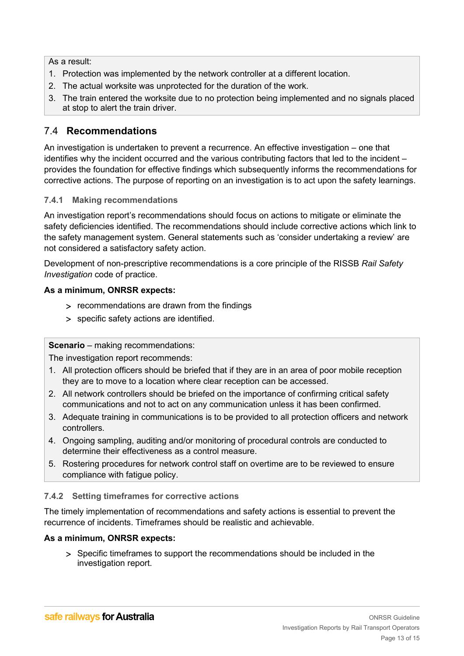As a result:

- 1. Protection was implemented by the network controller at a different location.
- 2. The actual worksite was unprotected for the duration of the work.
- 3. The train entered the worksite due to no protection being implemented and no signals placed at stop to alert the train driver.

# <span id="page-12-0"></span>7.4 **Recommendations**

An investigation is undertaken to prevent a recurrence. An effective investigation – one that identifies why the incident occurred and the various contributing factors that led to the incident – provides the foundation for effective findings which subsequently informs the recommendations for corrective actions. The purpose of reporting on an investigation is to act upon the safety learnings.

# <span id="page-12-1"></span>**7.4.1 Making recommendations**

An investigation report's recommendations should focus on actions to mitigate or eliminate the safety deficiencies identified. The recommendations should include corrective actions which link to the safety management system. General statements such as 'consider undertaking a review' are not considered a satisfactory safety action.

Development of non-prescriptive recommendations is a core principle of the RISSB *Rail Safety Investigation* code of practice.

## **As a minimum, ONRSR expects:**

- > recommendations are drawn from the findings
- > specific safety actions are identified.

## **Scenario** – making recommendations:

The investigation report recommends:

- 1. All protection officers should be briefed that if they are in an area of poor mobile reception they are to move to a location where clear reception can be accessed.
- 2. All network controllers should be briefed on the importance of confirming critical safety communications and not to act on any communication unless it has been confirmed.
- 3. Adequate training in communications is to be provided to all protection officers and network controllers.
- 4. Ongoing sampling, auditing and/or monitoring of procedural controls are conducted to determine their effectiveness as a control measure.
- 5. Rostering procedures for network control staff on overtime are to be reviewed to ensure compliance with fatigue policy.

## <span id="page-12-2"></span>**7.4.2 Setting timeframes for corrective actions**

The timely implementation of recommendations and safety actions is essential to prevent the recurrence of incidents. Timeframes should be realistic and achievable.

## **As a minimum, ONRSR expects:**

> Specific timeframes to support the recommendations should be included in the investigation report.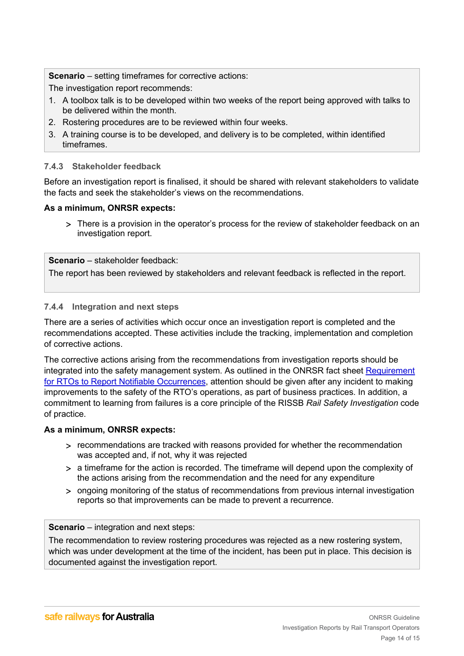**Scenario** – setting timeframes for corrective actions:

The investigation report recommends:

- 1. A toolbox talk is to be developed within two weeks of the report being approved with talks to be delivered within the month.
- 2. Rostering procedures are to be reviewed within four weeks.
- 3. A training course is to be developed, and delivery is to be completed, within identified timeframes.

#### <span id="page-13-0"></span>**7.4.3 Stakeholder feedback**

Before an investigation report is finalised, it should be shared with relevant stakeholders to validate the facts and seek the stakeholder's views on the recommendations.

#### **As a minimum, ONRSR expects:**

> There is a provision in the operator's process for the review of stakeholder feedback on an investigation report.

**Scenario** – stakeholder feedback:

The report has been reviewed by stakeholders and relevant feedback is reflected in the report.

#### <span id="page-13-1"></span>**7.4.4 Integration and next steps**

There are a series of activities which occur once an investigation report is completed and the recommendations accepted. These activities include the tracking, implementation and completion of corrective actions.

The corrective actions arising from the recommendations from investigation reports should be integrated into the safety management system. As outlined in the ONRSR fact sheet [Requirement](http://onrsr.com.au/operations/reporting/notifiable-occurrences)  [for RTOs to Report Notifiable Occurrences,](http://onrsr.com.au/operations/reporting/notifiable-occurrences) attention should be given after any incident to making improvements to the safety of the RTO's operations, as part of business practices. In addition, a commitment to learning from failures is a core principle of the RISSB *Rail Safety Investigation* code of practice.

#### **As a minimum, ONRSR expects:**

- > recommendations are tracked with reasons provided for whether the recommendation was accepted and, if not, why it was rejected
- > a timeframe for the action is recorded. The timeframe will depend upon the complexity of the actions arising from the recommendation and the need for any expenditure
- > ongoing monitoring of the status of recommendations from previous internal investigation reports so that improvements can be made to prevent a recurrence.

#### **Scenario** – integration and next steps:

The recommendation to review rostering procedures was rejected as a new rostering system, which was under development at the time of the incident, has been put in place. This decision is documented against the investigation report.